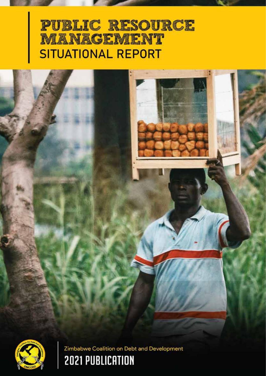# **PUBLIC RESOURCE** MANAGEMENT **SITUATIONAL REPORT**





Zimbabwe Coalition on Debt and Development **2021 PUBLICATION**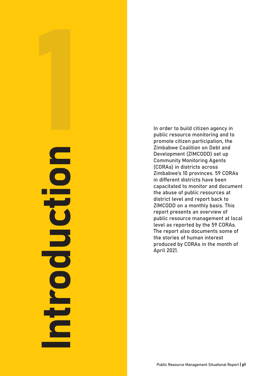# **Introduction**  $\blacksquare$ CHO 3 **DODDIN**

In order to build citizen agency in public resource monitoring and to promote citizen participation, the Zimbabwe Coalition on Debt and Development (ZIMCODD) set up Community Monitoring Agents (CORAs) in districts across Zimbabwe's 10 provinces. 59 CORAs in different districts have been capacitated to monitor and document the abuse of public resources at district level and report back to ZIMCODD on a monthly basis. This report presents an overview of public resource management at local level as reported by the 59 CORAs. The report also documents some of the stories of human interest produced by CORAs in the month of April 2021.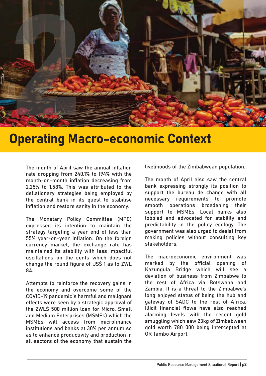

# Operating Macro-economic Context

The month of April saw the annual inflation rate dropping from 240.1% to 194% with the month-on-month inflation decreasing from 2.25% to 1.58%. This was attributed to the deflationary strategies being employed by the central bank in its quest to stabilise inflation and restore sanity in the economy.

The Monetary Policy Committee (MPC) expressed its intention to maintain the strategy targeting a year end of less than 55% year-on-year inflation. On the foreign currency market, the exchange rate has maintained its stability with less impactful oscillations on the cents which does not change the round figure of US\$ 1 as to ZWL 84.

Attempts to reinforce the recovery gains in the economy and overcome some of the COVID-19 pandemic`s harmful and malignant effects were seen by a strategic approval of the ZWL� 500 million loan for Micro, Small and Medium Enterprises (MSMEs) which the MSMEs will access from microfinance institutions and banks at 30% per annum so as to enhance productivity and production in all sectors of the economy that sustain the

livelihoods of the Zimbabwean population.

The month of April also saw the central bank expressing strongly its position to support the bureau de change with all necessary requirements to promote smooth operations broadening their support to MSMEs. Local banks also lobbied and advocated for stability and predictability in the policy ecology. The government was also urged to desist from making policies without consulting key stakeholders.

The macroeconomic environment was marked by the official opening of Kazungula Bridge which will see a deviation of business from Zimbabwe to the rest of Africa via Botswana and Zambia. It is a threat to the Zimbabwe's long enjoyed status of being the hub and gateway of SADC to the rest of Africa. Illicit financial flows have also reached alarming levels with the recent gold smuggling which saw 23kg of Zimbabwean gold worth 780 000 being intercepted at OR Tambo Airport.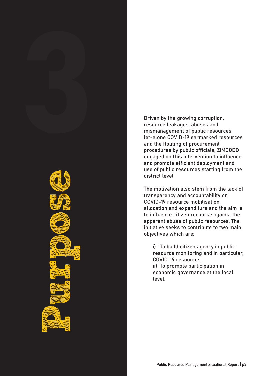Driven by the growing corruption, resource leakages, abuses and mismanagement of public resources let-alone COVID-19 earmarked resources and the flouting of procurement procedures by public officials, ZIMCODD engaged on this intervention to influence and promote efficient deployment and use of public resources starting from the district level.

The motivation also stem from the lack of transparency and accountability on COVID-19 resource mobilisation, allocation and expenditure and the aim is to influence citizen recourse against the apparent abuse of public resources. The initiative seeks to contribute to two main objectives which are:

i) To build citizen agency in public resource monitoring and in particular, COVID-19 resources.

ii) To promote participation in economic governance at the local level.

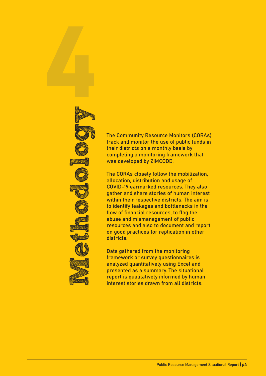

The Community Resource Monitors (CORAs) track and monitor the use of public funds in their districts on a monthly basis by completing a monitoring framework that was developed by ZIMCODD.

The CORAs closely follow the mobilization, allocation, distribution and usage of COVID-19 earmarked resources. They also gather and share stories of human interest within their respective districts. The aim is to identify leakages and bottlenecks in the flow of financial resources, to flag the abuse and mismanagement of public resources and also to document and report on good practices for replication in other districts.

Data gathered from the monitoring framework or survey questionnaires is analyzed quantitatively using Excel and presented as a summary. The situational report is qualitatively informed by human interest stories drawn from all districts.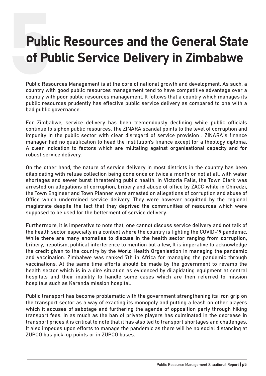# Public Resources and the General State of Public Service Delivery in Zimbabwe

Public Resources Management is at the core of national growth and development. As such, a country with good public resources management tend to have competitive advantage over a country with poor public resources management. It follows that a country which manages its public resources prudently has effective public service delivery as compared to one with a bad public governance.

For Zimbabwe, service delivery has been tremendously declining while public officials continue to siphon public resources. The ZINARA scandal points to the level of corruption and impunity in the public sector with clear disregard of service provision . ZINARA's finance manager had no qualification to head the institution's finance except for a theology diploma. A clear indication to factors which are militating against organisational capacity and for robust service delivery.

On the other hand, the nature of service delivery in most districts in the country has been dilapidating with refuse collection being done once or twice a month or not at all, with water shortages and sewer burst threatening public health. In Victoria Falls, the Town Clerk was arrested on allegations of corruption, bribery and abuse of office by ZACC while in Chiredzi, the Town Engineer and Town Planner were arrested on allegations of corruption and abuse of Office which undermined service delivery. They were however acquitted by the regional magistrate despite the fact that they deprived the communities of resources which were supposed to be used for the betterment of service delivery.

Furthermore, it is imperative to note that, one cannot discuss service delivery and not talk of the health sector especially in a context where the country is fighting the COVID-19 pandemic. While there are many anomalies to discuss in the health sector ranging from corruption, bribery, nepotism, political interference to mention but a few, It is imperative to acknowledge the credit given to the country by the World Health Organisation in managing the pandemic and vaccination. Zimbabwe was ranked 7th in Africa for managing the pandemic through vaccinations. At the same time efforts should be made by the government to revamp the health sector which is in a dire situation as evidenced by dilapidating equipment at central hospitals and their inability to handle some cases which are then referred to mission hospitals such as Karanda mission hospital.

Public transport has become problematic with the government strengthening its iron grip on the transport sector as a way of exacting its monopoly and putting a leash on other players which it accuses of sabotage and furthering the agenda of opposition party through hiking transport fees. In as much as the ban of private players has culminated in the decrease in transport prices it is critical to note that it has also led to transport shortages and challenges. It also impedes upon efforts to manage the pandemic as there will be no social distancing at ZUPCO bus pick-up points or in ZUPCO buses.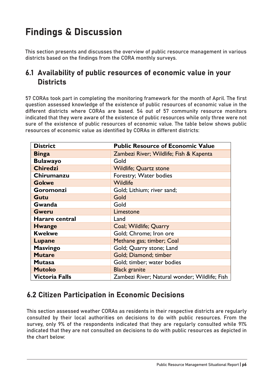# Findings & Discussion

This section presents and discusses the overview of public resource management in various districts based on the findings from the CORA monthly surveys.

# 6.1 Availability of public resources of economic value in your **Districts**

57 CORAs took part in completing the monitoring framework for the month of April. The first question assessed knowledge of the existence of public resources of economic value in the different districts where CORAs are based. 54 out of 57 community resource monitors indicated that they were aware of the existence of public resources while only three were not sure of the existence of public resources of economic value. The table below shows public resources of economic value as identified by CORAs in different districts:

| <b>District</b>       | <b>Public Resource of Economic Value</b>      |
|-----------------------|-----------------------------------------------|
| <b>Binga</b>          | Zambezi River; Wildlife; Fish & Kapenta       |
| <b>Bulawayo</b>       | Gold                                          |
| <b>Chiredzi</b>       | <b>Wildlife</b> ; Quartz stone                |
| Chirumanzu            | Forestry; Water bodies                        |
| <b>Gokwe</b>          | Wildlife                                      |
| Goromonzi             | Gold; Lithium; river sand;                    |
| Gutu                  | Gold                                          |
| Gwanda                | Gold                                          |
| <b>Gweru</b>          | Limestone                                     |
| Harare central        | Land                                          |
| <b>Hwange</b>         | Coal; Wildlife; Quarry                        |
| <b>Kwekwe</b>         | Gold; Chrome; Iron ore                        |
| <b>Lupane</b>         | Methane gas; timber; Coal                     |
| <b>Masvingo</b>       | Gold; Quarry stone; Land                      |
| <b>Mutare</b>         | Gold; Diamond; timber                         |
| <b>Mutasa</b>         | Gold; timber; water bodies                    |
| <b>Mutoko</b>         | <b>Black granite</b>                          |
| <b>Victoria Falls</b> | Zambezi River; Natural wonder; Wildlife; Fish |

# 6.2 Citizen Participation in Economic Decisions

This section assessed weather CORAs as residents in their respective districts are regularly consulted by their local authorities on decisions to do with public resources. From the survey, only 9% of the respondents indicated that they are regularly consulted while 91% indicated that they are not consulted on decisions to do with public resources as depicted in the chart below: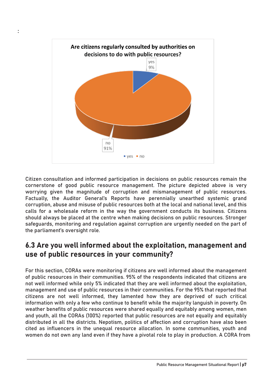

:

Citizen consultation and informed participation in decisions on public resources remain the cornerstone of good public resource management. The picture depicted above is very worrying given the magnitude of corruption and mismanagement of public resources. Factually, the Auditor General's Reports have perennially unearthed systemic grand corruption, abuse and misuse of public resources both at the local and national level, and this calls for a wholesale reform in the way the government conducts its business. Citizens should always be placed at the centre when making decisions on public resources. Stronger safeguards, monitoring and regulation against corruption are urgently needed on the part of the parliament's oversight role.

## 6.3 Are you well informed about the exploitation, management and use of public resources in your community?

For this section, CORAs were monitoring if citizens are well informed about the management of public resources in their communities. 95% of the respondents indicated that citizens are not well informed while only 5% indicated that they are well informed about the exploitation, management and use of public resources in their communities. For the 95% that reported that citizens are not well informed, they lamented how they are deprived of such critical information with only a few who continue to benefit while the majority languish in poverty. On weather benefits of public resources were shared equally and equitably among women, men and youth, all the CORAs (100%) reported that public resources are not equally and equitably distributed in all the districts. Nepotism, politics of affection and corruption have also been cited as influencers in the unequal resource allocation. In some communities, youth and women do not own any land even if they have a pivotal role to play in production. A CORA from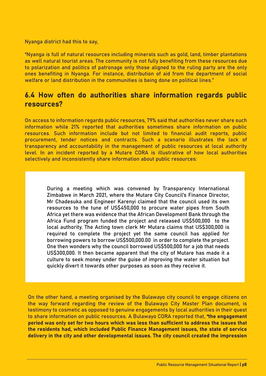Nyanga district had this to say,

"Nyanga is full of natural resources including minerals such as gold, land, timber plantations as well natural tourist areas. The community is not fully benefiting from these resources due to polarization and politics of patronage only those aligned to the ruling party are the only ones benefiting in Nyanga. For instance, distribution of aid from the department of social welfare or land distribution in the communities is being done on political lines."

## 6.4 How often do authorities share information regards public resources?

On access to information regards public resources, 79% said that authorities never share such information while 21% reported that authorities sometimes share information on public resources. Such information include but not limited to financial audit reports, public procurement, tender notices and contracts. Such a scenario illustrates the lack of transparency and accountability in the management of public resources at local authority level. In an incident reported by a Mutare CORA is illustrative of how local authorities selectively and inconsistently share information about public resources:

During a meeting which was convened by Transparency International Zimbabwe in March 2021, where the Mutare City Council's Finance Director, Mr Chadesuka and Engineer Karenyi claimed that the council used its own resources to the tune of US�450,000 to procure water pipes from South Africa yet there was evidence that the African Development Bank through the Africa Fund program funded the project and released US\$500,000 to the local authority. The Acting town clerk Mr Mutara claims that US�300,000 is required to complete the project yet the same council has applied for borrowing powers to borrow US�500,000.00 in order to complete the project. One then wonders why the council borrowed US\$500,000 for a job that needs US�300,000. It then became apparent that the city of Mutare has made it a culture to seek money under the guise of improving the water situation but quickly divert it towards other purposes as soon as they receive it.

On the other hand, a meeting organised by the Bulawayo city council to engage citizens on the way forward regarding the review of the Bulawayo City Master Plan document, is testimony to cosmetic as opposed to genuine engagements by local authorities in their quest to share information on public resources. A Bulawayo CORA reported that, "the engagement period was only set for two hours which was less than sufficient to address the issues that the residents had, which included Public Finance Management issues, the state of service delivery in the city and other developmental issues. The city council created the impression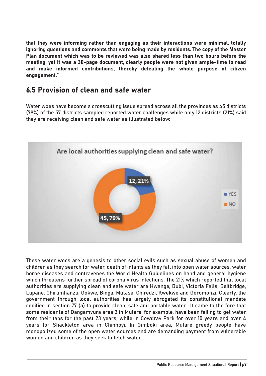that they were informing rather than engaging as their interactions were minimal, totally ignoring questions and comments that were being made by residents. The copy of the Master Plan document which was to be reviewed was also shared less than two hours before the meeting, yet it was a 30-page document, clearly people were not given ample-time to read and make informed contributions, thereby defeating the whole purpose of citizen engagement."

## 6.5 Provision of clean and safe water

Water woes have become a crosscutting issue spread across all the provinces as 45 districts (79%) of the 57 districts sampled reported water challenges while only 12 districts (21%) said they are receiving clean and safe water as illustrated below:



These water woes are a genesis to other social evils such as sexual abuse of women and children as they search for water, death of infants as they fall into open water sources, water borne diseases and contravenes the World Health Guidelines on hand and general hygiene which threatens further spread of corona virus infections. The 21% which reported that local authorities are supplying clean and safe water are Hwange, Bubi, Victoria Falls, Beitbridge, Lupane, Chirumhanzu, Gokwe, Binga, Mutasa, Chiredzi, Kwekwe and Goromonzi. Clearly, the government through local authorities has largely abrogated its constitutional mandate codified in section 77 (a) to provide clean, safe and portable water. It came to the fore that some residents of Dangamvura area 3 in Mutare, for example, have been failing to get water from their taps for the past 23 years, while in Cowdray Park for over 10 years and over 4 years for Shackleton area in Chinhoyi. In Gimboki area, Mutare greedy people have monopolized some of the open water sources and are demanding payment from vulnerable women and children as they seek to fetch water.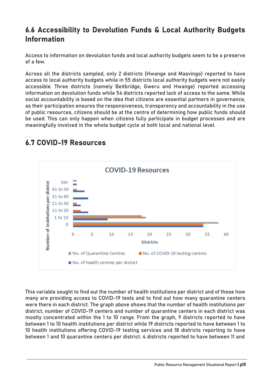# 6.6 Accessibility to Devolution Funds & Local Authority Budgets Information

Access to information on devolution funds and local authority budgets seem to be a preserve of a few.

Across all the districts sampled, only 2 districts (Hwange and Masvingo) reported to have access to local authority budgets while in 55 districts local authority budgets were not easily accessible. Three districts (namely Beitbridge, Gweru and Hwange) reported accessing information on devolution funds while 54 districts reported lack of access to the same. While social accountability is based on the idea that citizens are essential partners in governance, as their participation ensures the responsiveness, transparency and accountability in the use of public resources, citizens should be at the centre of determining how public funds should be used. This can only happen when citizens fully participate in budget processes and are meaningfully involved in the whole budget cycle at both local and national level.



# 6.7 COVID-19 Resources

This variable sought to find out the number of health institutions per district and of those how many are providing access to COVID-19 tests and to find out how many quarantine centers were there in each district. The graph above shows that the number of health institutions per district, number of COVID-19 centers and number of quarantine centers in each district was mostly concentrated within the 1 to 10 range. From the graph, 9 districts reported to have between 1 to 10 health institutions per district while 19 districts reported to have between 1 to 10 health institutions offering COVID-19 testing services and 18 districts reporting to have between 1 and 10 quarantine centers per district. 4 districts reported to have between 11 and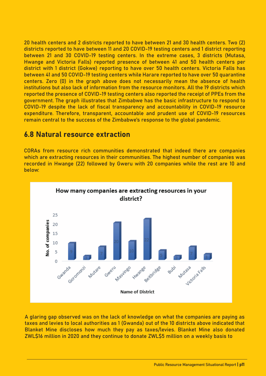20 health centers and 2 districts reported to have between 21 and 30 health centers. Two (2) districts reported to have between 11 and 20 COVID-19 testing centers and 1 district reporting between 21 and 30 COVID-19 testing centers. In the extreme cases, 3 districts (Mutasa, Hwange and Victoria Falls) reported presence of between 41 and 50 health centers per district with 1 district (Gokwe) reporting to have over 50 health centers. Victoria Falls has between 41 and 50 COVID-19 testing centers while Harare reported to have over 50 quarantine centers. Zero (0) in the graph above does not necessarily mean the absence of health institutions but also lack of information from the resource monitors. All the 19 districts which reported the presence of COVID-19 testing centers also reported the receipt of PPEs from the government. The graph illustrates that Zimbabwe has the basic infrastructure to respond to COVID-19 despite the lack of fiscal transparency and accountability in COVID-19 resource expenditure. Therefore, transparent, accountable and prudent use of COVID-19 resources remain central to the success of the Zimbabwe's response to the global pandemic.

#### 6.8 Natural resource extraction

CORAs from resource rich communities demonstrated that indeed there are companies which are extracting resources in their communities. The highest number of companies was recorded in Hwange (22) followed by Gweru with 20 companies while the rest are 10 and below:



A glaring gap observed was on the lack of knowledge on what the companies are paying as taxes and levies to local authorities as 1 (Gwanda) out of the 10 districts above indicated that Blanket Mine discloses how much they pay as taxes/levies. Blanket Mine also donated ZWL�16 million in 2020 and they continue to donate ZWL�5 million on a weekly basis to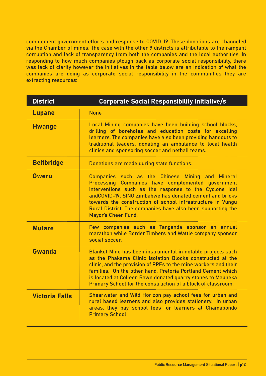complement government efforts and response to COVID-19. These donations are channeled via the Chamber of mines. The case with the other 9 districts is attributable to the rampant corruption and lack of transparency from both the companies and the local authorities. In responding to how much companies plough back as corporate social responsibility, there was lack of clarity however the initiatives in the table below are an indication of what the companies are doing as corporate social responsibility in the communities they are extracting resources:

| <b>District</b>       | <b>Corporate Social Responsibility Initiative/s</b>                                                                                                                                                                                                                                                                                                                                       |
|-----------------------|-------------------------------------------------------------------------------------------------------------------------------------------------------------------------------------------------------------------------------------------------------------------------------------------------------------------------------------------------------------------------------------------|
| <b>Lupane</b>         | <b>None</b>                                                                                                                                                                                                                                                                                                                                                                               |
| <b>Hwange</b>         | Local Mining companies have been building school blocks,<br>drilling of boreholes and education costs for excelling<br>learners. The companies have also been providing handouts to<br>traditional leaders, donating an ambulance to local health<br>clinics and sponsoring soccer and netball teams.                                                                                     |
| <b>Beitbridge</b>     | Donations are made during state functions.                                                                                                                                                                                                                                                                                                                                                |
| Gweru                 | Companies such as the Chinese Mining and Mineral<br>Processing Companies have complemented government<br>interventions such as the response to the Cyclone Idai<br>andCOVID-19, SINO Zimbabwe has donated cement and bricks<br>towards the construction of school infrastructure in Vungu<br>Rural District. The companies have also been supporting the<br><b>Mayor's Cheer Fund.</b>    |
| <b>Mutare</b>         | Few companies such as Tanganda sponsor an annual<br>marathon while Border Timbers and Wattle company sponsor<br>social soccer.                                                                                                                                                                                                                                                            |
| Gwanda                | Blanket Mine has been instrumental in notable projects such<br>as the Phakama Clinic Isolation Blocks constructed at the<br>clinic, and the provision of PPEs to the mine workers and their<br>families. On the other hand, Pretoria Portland Cement which<br>is located at Colleen Bawn donated quarry stones to Mabheka<br>Primary School for the construction of a block of classroom. |
| <b>Victoria Falls</b> | Shearwater and Wild Horizon pay school fees for urban and<br>rural based learners and also provides stationery. In urban<br>areas, they pay school fees for learners at Chamabondo<br><b>Primary School</b>                                                                                                                                                                               |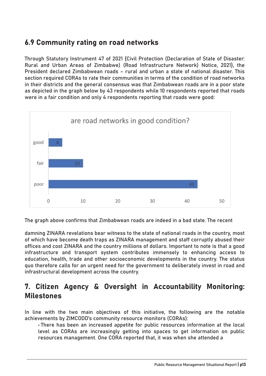## 6.9 Community rating on road networks

Through Statutory Instrument 47 of 2021 {Civil Protection (Declaration of State of Disaster: Rural and Urban Areas of Zimbabwe) (Road Infrastructure Network) Notice, 2021}, the President declared Zimbabwean roads – rural and urban a state of national disaster. This section required CORAs to rate their communities in terms of the condition of road networks in their districts and the general consensus was that Zimbabwean roads are in a poor state as depicted in the graph below by 43 respondents while 10 respondents reported that roads were in a fair condition and only 4 respondents reporting that roads were good:



The graph above confirms that Zimbabwean roads are indeed in a bad state. The recent

damning ZINARA revelations bear witness to the state of national roads in the country, most of which have become death traps as ZINARA management and staff corruptly abused their offices and cost ZINARA and the country millions of dollars. Important to note is that a good infrastructure and transport system contributes immensely to enhancing access to education, health, trade and other socioeconomic developments in the country. The status quo therefore calls for an urgent need for the government to deliberately invest in road and infrastructural development across the country.

## 7. Citizen Agency & Oversight in Accountability Monitoring: Milestones

In line with the two main objectives of this initiative, the following are the notable achievements by ZIMCODD's community resource monitors (CORAs):

• There has been an increased appetite for public resources information at the local level as CORAs are increasingly getting into spaces to get information on public resources management. One CORA reported that, it was when she attended a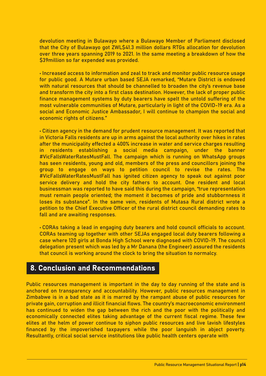devolution meeting in Bulawayo where a Bulawayo Member of Parliament disclosed that the City of Bulawayo got ZWL\$41.3 million dollars RTGs allocation for devolution over three years spanning 2019 to 2021. In the same meeting a breakdown of how the �39million so far expended was provided.

• Increased access to information and zeal to track and monitor public resource usage for public good. A Mutare urban based SEJA remarked, "Mutare District is endowed with natural resources that should be channelled to broaden the city's revenue base and transform the city into a first class destination. However, the lack of proper public finance management systems by duty bearers have spelt the untold suffering of the most vulnerable communities of Mutare, particularly in light of the COVID-19 era. As a social and Economic Justice Ambassador, I will continue to champion the social and economic rights of citizens."

• Citizen agency in the demand for prudent resource management. It was reported that in Victoria Falls residents are up in arms against the local authority over hikes in rates after the municipality effected a 400% increase in water and service charges resulting in residents establishing a social media campaign, under the banner #VicFallsWaterRatesMustFall. The campaign which is running on WhatsApp groups has seen residents, young and old, members of the press and councillors joining the group to engage on ways to petition council to revise the rates. The #VicFallsWaterRatesMustFall has ignited citizen agency to speak out against poor service delivery and hold the city fathers to account. One resident and local businessman was reported to have said this during the campaign, "true representation must remain people oriented; the moment it becomes of pride and stubbornness it loses its substance". In the same vein, residents of Mutasa Rural district wrote a petition to the Chief Executive Officer of the rural district council demanding rates to fall and are awaiting responses.

• CORAs taking a lead in engaging duty bearers and hold council officials to account. CORAs teaming up together with other SEJAs engaged local duty bearers following a case where 120 girls at Bonda High School were diagnosed with COVID-19. The council delegation present which was led by a Mr Danana (the Engineer) assured the residents that council is working around the clock to bring the situation to normalcy.

## 8. Conclusion and Recommendations

Public resources management is important in the day to day running of the state and is anchored on transparency and accountability. However, public resources management in Zimbabwe is in a bad state as it is marred by the rampant abuse of public resources for private gain, corruption and illicit financial flows. The country's macroeconomic environment has continued to widen the gap between the rich and the poor with the politically and economically connected elites taking advantage of the current fiscal regime. These few elites at the helm of power continue to siphon public resources and live lavish lifestyles financed by the impoverished taxpayers while the poor languish in abject poverty. Resultantly, critical social service institutions like public health centers operate with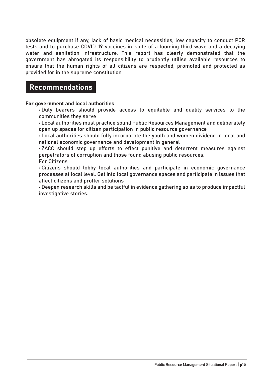obsolete equipment if any, lack of basic medical necessities, low capacity to conduct PCR tests and to purchase COVID-19 vaccines in-spite of a looming third wave and a decaying water and sanitation infrastructure. This report has clearly demonstrated that the government has abrogated its responsibility to prudently utilise available resources to ensure that the human rights of all citizens are respected, promoted and protected as provided for in the supreme constitution.

#### Recommendations

#### For government and local authorities

• Duty bearers should provide access to equitable and quality services to the communities they serve

• Local authorities must practice sound Public Resources Management and deliberately open up spaces for citizen participation in public resource governance

• Local authorities should fully incorporate the youth and women dividend in local and national economic governance and development in general

• ZACC should step up efforts to effect punitive and deterrent measures against perpetrators of corruption and those found abusing public resources.

For Citizens

• Citizens should lobby local authorities and participate in economic governance processes at local level. Get into local governance spaces and participate in issues that affect citizens and proffer solutions

• Deepen research skills and be tactful in evidence gathering so as to produce impactful investigative stories.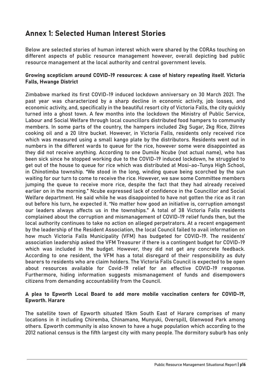# Annex 1: Selected Human Interest Stories

Below are selected stories of human interest which were shared by the CORAs touching on different aspects of public resource management however, overall depicting bad public resource management at the local authority and central government levels.

#### Growing scepticism around COVID-19 resources: A case of history repeating itself. Victoria Falls, Hwange District

Zimbabwe marked its first COVID-19 induced lockdown anniversary on 30 March 2021. The past year was characterized by a sharp decline in economic activity, job losses, and economic activity, and, specifically in the beautiful resort city of Victoria Falls, the city quickly turned into a ghost town. A few months into the lockdown the Ministry of Public Service, Labour and Social Welfare through local councillors distributed food hampers to community members. In some parts of the country, the hampers included 2kg Sugar, 2kg Rice, 2litres cooking oil and a 20 litre bucket. However, in Victoria Falls, residents only received rice which was measured using a small kango plate by the distributors. Residents went out in numbers in the different wards to queue for the rice, however some were disappointed as they did not receive anything. According to one Dumile Ncube (not actual name), who has been sick since he stopped working due to the COVID-19 induced lockdown, he struggled to get out of the house to queue for rice which was distributed at Mosi-ao-Tunya High School, in Chinotimba township. "We stood in the long, winding queue being scorched by the sun waiting for our turn to come to receive the rice. However, we saw some Committee members jumping the queue to receive more rice, despite the fact that they had already received earlier on in the morning." Ncube expressed lack of confidence in the Councillor and Social Welfare department. He said while he was disappointed to have not gotten the rice as it ran out before his turn, he expected it. "No matter how good an initiative is, corruption amongst our leaders always affects us in the townships." A total of 38 Victoria Falls residents complained about the corruption and mismanagement of COVID-19 relief funds then, but the local authority continues to take no action on alleged perpetrators. At a recent engagement by the leadership of the Resident Association, the local Council failed to avail information on how much Victoria Falls Municipality (VFM) has budgeted for COVID-19. The residents' association leadership asked the VFM Treasurer if there is a contingent budget for COVID-19 which was included in the budget. However, they did not get any concrete feedback. According to one resident, the VFM has a total disregard of their responsibility as duty bearers to residents who are claim holders. The Victoria Falls Council is expected to be open about resources available for Covid-19 relief for an effective COVID-19 response. Furthermore, hiding information suggests mismanagement of funds and disempowers citizens from demanding accountability from the Council.

#### A plea to Epworth Local Board to add more mobile vaccination centers for COVID-19, Epworth. Harare

The satellite town of Epworth situated 15km South East of Harare comprises of many locations in it including Chiremba, Chinamano, Munyuki, Overspill, Glenwood Park among others. Epworth community is also known to have a huge population which according to the 2012 national census is the fifth largest city with many people. The dormitory suburb has only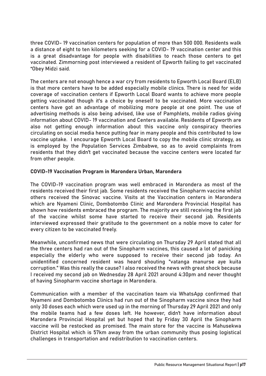three COVID- 19 vaccination centers for population of more than 500 000. Residents walk a distance of eight to ten kilometers seeking for a COVID- 19 vaccination center and this is a great disadvantage for people with disabilities to reach those centers to get vaccinated. Zimmorning post interviewed a resident of Epworth failing to get vaccinated "Obey Midzi said.

The centers are not enough hence a war cry from residents to Epworth Local Board (ELB) is that more centers have to be added especially mobile clinics. There is need for wide coverage of vaccination centers if Epworth Local Board wants to achieve more people getting vaccinated though it's a choice by oneself to be vaccinated. More vaccination centers have got an advantage of mobilizing more people at one point. The use of advertising methods is also being advised, like use of Pamphlets, mobile radios giving information about COVID- 19 vaccination and Centers available. Residents of Epworth are also not getting enough information about this vaccine only conspiracy theories circulating on social media hence putting fear in many people and this contributed to low vaccine uptake. I encourage Epworth Local Board to copy the mobile clinic strategy, as is employed by the Population Services Zimbabwe, so as to avoid complaints from residents that they didn't get vaccinated because the vaccine centers were located far from other people.

#### COVID-19 Vaccination Program in Marondera Urban, Marondera

The COVID-19 vaccination program was well embraced in Marondera as most of the residents received their first jab. Some residents received the Sinopharm vaccine whilst others received the Sinovac vaccine. Visits at the Vaccination centers in Marondera which are Nyameni Clinic, Dombotombo Clinic and Marondera Provincial Hospital has shown how residents embraced the program. The majority are still receiving the first jab of the vaccine whilst some have started to receive their second jab. Residents interviewed expressed their gratitude to the government on a noble move to cater for every citizen to be vaccinated freely.

Meanwhile, unconfirmed news that were circulating on Thursday 29 April stated that all the three centers had ran out of the Sinopharm vaccines, this caused a lot of panicking especially the elderly who were supposed to receive their second jab today. An unidentified concerned resident was heard shouting "vatanga manurse aye kuita corruption." Was this really the cause? I also received the news with great shock because I received my second jab on Wednesday 28 April 2021 around 4:30pm and never thought of having Sinopharm vaccine shortage in Marondera.

Communication with a member of the vaccination team via WhatsApp confirmed that Nyameni and Dombotombo Clinics had run out of the Sinopharm vaccine since they had only 30 doses each which were used up in the morning of Thursday 29 April 2021 and only the mobile teams had a few doses left. He however, didn't have information about Marondera Provincial Hospital yet but hoped that by Friday 30 April the Sinopharm vaccine will be restocked as promised. The main store for the vaccine is Mahusekwa District Hospital which is 57km away from the urban community thus posing logistical challenges in transportation and redistribution to vaccination centers.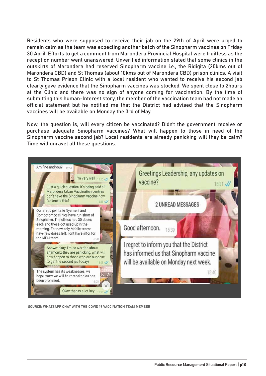Residents who were supposed to receive their jab on the 29th of April were urged to remain calm as the team was expecting another batch of the Sinopharm vaccines on Friday 30 April. Efforts to get a comment from Marondera Provincial Hospital were fruitless as the reception number went unanswered. Unverified information stated that some clinics in the outskirts of Marondera had reserved Sinopharm vaccine i.e., the Ridigita (20kms out of Marondera CBD) and St Thomas (about 10kms out of Marondera CBD) prison clinics. A visit to St Thomas Prison Clinic with a local resident who wanted to receive his second jab clearly gave evidence that the Sinopharm vaccines was stocked. We spent close to 2hours at the Clinic and there was no sign of anyone coming for vaccination. By the time of submitting this human-Interest story, the member of the vaccination team had not made an official statement but he notified me that the District had advised that the Sinopharm vaccines will be available on Monday the 3rd of May.

Now, the question is, will every citizen be vaccinated? Didn't the government receive or purchase adequate Sinopharm vaccines? What will happen to those in need of the Sinopharm vaccine second jab? Local residents are already panicking will they be calm? Time will unravel all these questions.



SOURCE: WHATSAPP CHAT WITH THE COVID 19 VACCINATION TEAM MEMBER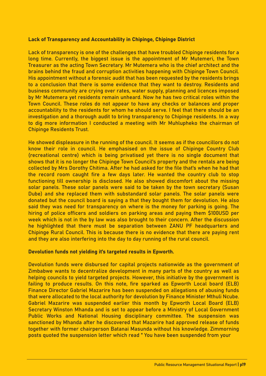#### Lack of Transparency and Accountability in Chipinge, Chipinge District

Lack of transparency is one of the challenges that have troubled Chipinge residents for a long time. Currently, the biggest issue is the appointment of Mr Mutemeri, the Town Treasurer as the acting Town Secretary. Mr Mutemera who is the chief architect and the brains behind the fraud and corruption activities happening with Chipinge Town Council. His appointment without a forensic audit that has been requested by the residents brings to a conclusion that there is some evidence that they want to destroy. Residents and business community are crying over rates, water supply, planning and licences imposed by Mr Mutemera yet residents remain unheard. Now he has two critical roles within the Town Council. These roles do not appear to have any checks or balances and proper accountability to the residents for whom he should serve. I feel that there should be an investigation and a thorough audit to bring transparency to Chipinge residents. In a way to dig more information I conducted a meeting with Mr Muhlupheko the chairman of Chipinge Residents Trust.

He showed displeasure in the running of the council. It seems as if the councillors do not know their role in council. He emphasised on the issue of Chipinge Country Club (recreational centre) which is being privatised yet there is no single document that shows that it is no longer the Chipinge Town Council's property and the rentals are being collected by Mrs Dorothy Chitima. After he had asked for the file that's when he had that the record room caught fire a few days later. He wanted the country club to stop functioning till ownership is disclosed. He also showed discomfort about the missing solar panels. These solar panels were said to be taken by the town secretary (Susan Dube) and she replaced them with substandard solar panels. The solar panels were donated but the council board is saying a that they bought them for devolution. He also said they was need for transparency on where is the money for parking is going. The hiring of police officers and soldiers on parking areas and paying them \$100USD per week which is not in the by law was also brought to their concern. After the discussion he highlighted that there must be separation between ZANU PF headquarters and Chipinge Rural Council. This is because there is no evidence that there are paying rent and they are also interfering into the day to day running of the rural council.

#### Devolution funds not yielding it's targeted results in Epworth.

Devolution funds were disbursed for capital projects nationwide as the government of Zimbabwe wants to decentralize development in many parts of the country as well as helping councils to yield targeted projects. However, this initiative by the government is failing to produce results. On this note, fire sparked as Epworth Local board (ELB) Finance Director Gabriel Mazarire has been suspended on allegations of abusing funds that were allocated to the local authority for devolution by Finance Minister Mthuli Ncube. Gabriel Mazarire was suspended earlier this month by Epworth Local Board (ELB) Secretary Winston Mhanda and is set to appear before a Ministry of Local Government Public Works and National Housing disciplinary committee. The suspension was sanctioned by Mhanda after he discovered that Mazarire had approved release of funds together with former chairperson Batanai Masunda without his knowledge. Zimmorning posts quoted the suspension letter which read " You have been suspended from your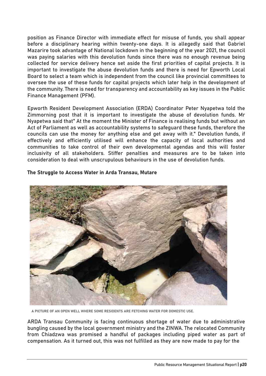position as Finance Director with immediate effect for misuse of funds, you shall appear before a disciplinary hearing within twenty-one days. It is allegedly said that Gabriel Mazarire took advantage of National lockdown in the beginning of the year 2021, the council was paying salaries with this devolution funds since there was no enough revenue being collected for service delivery hence set aside the first priorities of capital projects. It is important to investigate the abuse devolution funds and there is need for Epworth Local Board to select a team which is independent from the council like provincial committees to oversee the use of these funds for capital projects which later help in the development of the community. There is need for transparency and accountability as key issues in the Public Finance Management (PFM).

Epworth Resident Development Association (ERDA) Coordinator Peter Nyapetwa told the Zimmorning post that it is important to investigate the abuse of devolution funds. Mr Nyapetwa said that" At the moment the Minister of Finance is realising funds but without an Act of Parliament as well as accountability systems to safeguard these funds, therefore the councils can use the money for anything else and get away with it." Devolution funds, if effectively and efficiently utilised will enhance the capacity of local authorities and communities to take control of their own developmental agendas and this will foster inclusivity of all stakeholders. Stiffer penalties and measures are to be taken into consideration to deal with unscrupulous behaviours in the use of devolution funds.

#### The Struggle to Access Water in Arda Transau, Mutare



A PICTURE OF AN OPEN WELL WHERE SOME RESIDENTS ARE FETCHING WATER FOR DOMESTIC USE.

ARDA Transau Community is facing continuous shortage of water due to administrative bungling caused by the local government ministry and the ZINWA. The relocated Community from Chiadzwa was promised a handful of packages including piped water as part of compensation. As it turned out, this was not fulfilled as they are now made to pay for the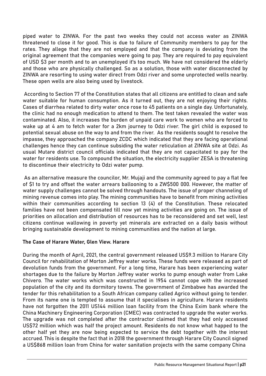piped water to ZINWA. For the past two weeks they could not access water as ZINWA threatened to close it for good. This is due to failure of Community members to pay for the rates. They allege that they are not employed and that the company is deviating from the original agreement that the companies were going to pay. They are required to pay equivalent of USD �3 per month and to an unemployed it's too much. We have not considered the elderly and those who are physically challenged. So as a solution, those with water disconnected by ZINWA are resorting to using water direct from Odzi river and some unprotected wells nearby. These open wells are also being used by livestock.

 According to Section 77 of the Constitution states that all citizens are entitled to clean and safe water suitable for human consumption. As it turned out, they are not enjoying their rights. Cases of diarrhea related to dirty water once rose to 45 patients on a single day. Unfortunately, the clinic had no enough medication to attend to them. The test taken revealed the water was contaminated. Also, it increases the burden of unpaid care work to women who are forced to wake up at 4 am to fetch water for a 2km journey to Odzi river. The girl child is exposed to potential sexual abuse on the way to and from the river. As the residents sought to resolve the impasse, they approached the company ZCDC which indicated that they are facing operational challenges hence they can continue subsiding the water reticulation at ZINWA site at Odzi. As usual Mutare district council officials indicated that they are not capacitated to pay for the water for residents use. To compound the situation, the electricity supplier ZESA is threatening to discontinue their electricity to Odzi water pump.

 As an alternative measure the councilor, Mr. Mujaji and the community agreed to pay a flat fee of \$1 to try and offset the water arrears ballooning to a ZW\$500 000. However, the matter of water supply challenges cannot be solved through handouts. The issue of proper channeling of mining revenue comes into play. The mining communities have to benefit from mining activities within their communities according to section 13 (4) of the Constitution. These relocated families have not been compensated till now yet mining activities are going on. The issue of priorities on allocation and distribution of resources has to be reconsidered and set well, lest citizens continue wallowing in poverty yet minerals are extracted on a daily basis without bringing sustainable development to mining communities and the nation at large.

#### The Case of Harare Water, Glen View. Harare

During the month of April, 2021, the central government released US�9.3 million to Harare City Council for rehabilitation of Morton Jeffrey water works. These funds were released as part of devolution funds from the government. For a long time, Harare has been experiencing water shortages due to the failure by Morton Jeffrey water works to pump enough water from Lake Chivero. The water works which was constructed in 1954 cannot cope with the increased population of the city and its dormitory towns. The government of Zimbabwe has awarded the tender for this rehabilitation to a South African company called Agrico without going to tender. From its name one is tempted to assume that it specialises in agriculture. Harare residents have not forgotten the 2011 US144 million loan facility from the China Exim bank where the China Machinery Engineering Corporation (CMEC) was contracted to upgrade the water works. The upgrade was not completed after the contractor claimed that they had only accessed US�72 million which was half the project amount. Residents do not know what happed to the other half yet they are now being expected to service the debt together with the interest accrued. This is despite the fact that in 2018 the government through Harare City Council signed a US\$868 million loan from China for water sanitation projects with the same company China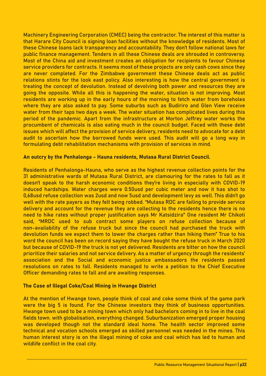Machinery Engineering Corporation (CMEC) being the contractor. The interest of this matter is that Harare City Council is signing loan facilities without the knowledge of residents. Most of these Chinese loans lack transparency and accountability. They don't follow national laws for public finance management. Tenders in all these Chinese deals are shrouded in controversy. Most of the China aid and investment creates an obligation for recipients to favour Chinese service providers for contracts. It seems most of these projects are only cash cows since they are never completed. For the Zimbabwe government these Chinese deals act as public relations stints for the look east policy. Also interesting is how the central government is treating the concept of devolution. Instead of devolving both power and resources they are going the opposite. While all this is happening the water, situation is not improving. Most residents are working up in the early hours of the morning to fetch water from boreholes where they are also asked to pay. Some suburbs such as Budiriro and Glen View receive water from their taps two days a week. The water situation has complicated lives during this period of the pandemic. Apart from the infrastructure at Morton Jeffrey water works the procumbent of chemicals is also eating much in the council budget. Faced with these debt issues which will affect the provision of service delivery, residents need to advocate for a debt audit to ascertain how the borrowed funds were used. This audit will go a long way in formulating debt rehabilitation mechanisms with provision of services in mind.

#### An outcry by the Penhalonga - Hauna residents, Mutasa Rural District Council.

Residents of Penhalonga-Hauna, who serve as the highest revenue collection points for the 31 administrative wards of Mutasa Rural District, are clamouring for the rates to fall as it doesn't speak to the harsh economic conditions they're living in especially with COVID-19 induced hardships. Water charges were 0.50usd per cubic meter and now it has shot to 0,68usd refuse collection was 2usd and now 5usd and development levy as well. This didn't go well with the rate payers as they felt being robbed. "Mutasa RDC are failing to provide service delivery and account for the revenue they are collecting to the residents hence there is no need to hike rates without proper justification says Mr Katsidzira" One resident Mr Chikoti said, "MRDC used to sub contract some players on refuse collection because of non-availability of the refuse truck but since the council had purchased the truck with devolution funds we expect them to lower the charges rather than hiking them" True to his word the council has been on record saying they have bought the refuse truck in March 2020 but because of COVID-19 the truck is not yet delivered. Residents are bitter on how the council prioritize their salaries and not service delivery. As a matter of urgency through the residents' association and the Social and economic justice ambassadors the residents passed resolutions on rates to fall. Residents managed to write a petition to the Chief Executive Officer demanding rates to fall and are awaiting responses.

#### The Case of Illegal Coke/Coal Mining in Hwange District

At the mention of Hwange town, people think of coal and coke some think of the game park were the big 5 is found. For the Chinese investors they think of business opportunities. Hwange town used to be a mining town which only had bachelors coming in to live in the coal fields town. with globalisation, everything changed. Suburbanization emerged proper housing was developed though not the standard ideal home. The health sector improved some technical and vocation schools emerged as skilled personnel was needed in the mines. This human interest story is on the illegal mining of coke and coal which has led to human and wildlife conflict in the coal city.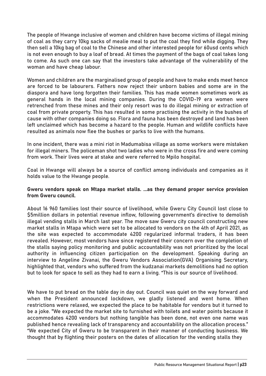The people of Hwange inclusive of women and children have become victims of illegal mining of coal as they carry 10kg sacks of mealie meal to put the coal they find while digging. They then sell a 10kg bag of coal to the Chinese and other interested people for 60usd cents which is not even enough to buy a loaf of bread. At times the payment of the bags of coal takes long to come. As such one can say that the investors take advantage of the vulnerability of the woman and have cheap labour.

Women and children are the marginalised group of people and have to make ends meet hence are forced to be labourers. Fathers now reject their unborn babies and some are in the diaspora and have long forgotten their families. This has made women sometimes work as general hands in the local mining companies. During the COVID-19 era women were retrenched from these mines and their only resort was to do illegal mining or extraction of coal from private property. This has resulted in some practising the activity in the bushes of cause with other companies doing so. Flora and fauna has been destroyed and land has been left unclaimed which has become a hazard to the people. Human and wildlife conflicts have resulted as animals now flee the bushes or parks to live with the humans.

In one incident, there was a mini riot in Madumabisa village as some workers were mistaken for illegal miners. The policeman shot two ladies who were in the cross fire and were coming from work. Their lives were at stake and were referred to Mpilo hospital.

Coal in Hwange will always be a source of conflict among individuals and companies as it holds value to the Hwange people.

#### Gweru vendors speak on Mtapa market stalls. ...as they demand proper service provision from Gweru council.

About 16 960 families lost their source of livelihood, while Gweru City Council lost close to �5million dollars in potential revenue inflow, following government's directive to demolish illegal vending stalls in March last year. The move saw Gweru city council constructing new market stalls in Mtapa which were set to be allocated to vendors on the 4th of April 2021, as the site was expected to accommodate 4200 regularized informal traders, it has been revealed. However, most vendors have since registered their concern over the completion of the stalls saying policy monitoring and public accountability was not prioritized by the local authority in influencing citizen participation on the development. Speaking during an interview to Angeline Zivanai, the Gweru Vendors Association(GVA) Organising Secretary, highlighted that, vendors who suffered from the kudzanai markets demolitions had no option but to look for space to sell as they had to earn a living. "This is our source of livelihood.

We have to put bread on the table day in day out. Council was quiet on the way forward and when the President announced lockdown, we gladly listened and went home. When restrictions were relaxed, we expected the place to be habitable for vendors but it turned to be a joke. "We expected the market site to furnished with toilets and water points because it accommodates 4200 vendors but nothing tangible has been done, not even one name was published hence revealing lack of transparency and accountability on the allocation process." "We expected City of Gweru to be transparent in their manner of conducting business. We thought that by flighting their posters on the dates of allocation for the vending stalls they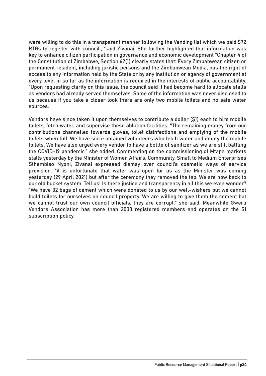were willing to do this in a transparent manner following the Vending list which we paid \$72 RTGs to register with council., "said Zivanai. She further highlighted that information was key to enhance citizen participation in governance and economic development "Chapter 4 of the Constitution of Zimbabwe, Section 62(1) clearly states that: Every Zimbabwean citizen or permanent resident, including juristic persons and the Zimbabwean Media, has the right of access to any information held by the State or by any institution or agency of government at every level in so far as the information is required in the interests of public accountability. "Upon requesting clarity on this issue, the council said it had become hard to allocate stalls as vendors had already served themselves. Some of the information was never disclosed to us because if you take a closer look there are only two mobile toilets and no safe water sources.

Vendors have since taken it upon themselves to contribute a dollar (�1) each to hire mobile toilets, fetch water, and supervise these ablution facilities. "The remaining money from our contributions channelled towards gloves, toilet disinfections and emptying of the mobile toilets when full. We have since obtained volunteers who fetch water and empty the mobile toilets. We have also urged every vendor to have a bottle of sanitizer as we are still battling the COVID-19 pandemic." she added. Commenting on the commissioning of Mtapa markets stalls yesterday by the Minister of Women Affairs, Community, Small to Medium Enterprises Sthembiso Nyoni, Zivanai expressed dismay over council's cosmetic ways of service provision. "it is unfortunate that water was open for us as the Minister was coming yesterday (29 April 2021) but after the ceremony they removed the tap. We are now back to our old bucket system. Tell us! Is there justice and transparency in all this we even wonder? "We have 32 bags of cement which were donated to us by our well-wishers but we cannot build toilets for ourselves on council property. We are willing to give them the cement but we cannot trust our own council officials, they are corrupt." she said. Meanwhile Gweru Vendors Association has more than 2000 registered members and operates on the �1 subscription policy.